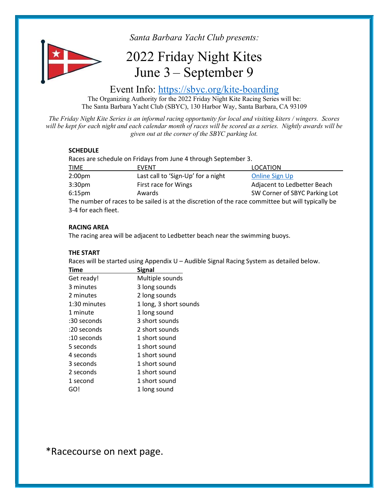

Santa Barbara Yacht Club presents:

## 2022 Friday Night Kites June 3 – September 9

### Event Info: https://sbyc.org/kite-boarding

The Organizing Authority for the 2022 Friday Night Kite Racing Series will be: The Santa Barbara Yacht Club (SBYC), 130 Harbor Way, Santa Barbara, CA 93109

The Friday Night Kite Series is an informal racing opportunity for local and visiting kiters / wingers. Scores will be kept for each night and each calendar month of races will be scored as a series. Nightly awards will be given out at the corner of the SBYC parking lot.

#### **SCHEDULE**

Races are schedule on Fridays from June 4 through September 3.

| TIME                | <b>EVENT</b>                                                                                      | LOCATION                      |  |
|---------------------|---------------------------------------------------------------------------------------------------|-------------------------------|--|
| 2:00 <sub>pm</sub>  | Last call to 'Sign-Up' for a night                                                                | <b>Online Sign Up</b>         |  |
| 3:30 <sub>pm</sub>  | First race for Wings                                                                              | Adjacent to Ledbetter Beach   |  |
| $6:15 \text{pm}$    | Awards                                                                                            | SW Corner of SBYC Parking Lot |  |
|                     | The number of races to be sailed is at the discretion of the race committee but will typically be |                               |  |
| 3-4 for each fleet. |                                                                                                   |                               |  |

#### RACING AREA

The racing area will be adjacent to Ledbetter beach near the swimming buoys.

#### THE START

Races will be started using Appendix U – Audible Signal Racing System as detailed below.

| Time          | Signal                 |
|---------------|------------------------|
| Get ready!    | Multiple sounds        |
| 3 minutes     | 3 long sounds          |
| 2 minutes     | 2 long sounds          |
| 1:30 minutes  | 1 long, 3 short sounds |
| 1 minute      | 1 long sound           |
| :30 seconds   | 3 short sounds         |
| :20 seconds   | 2 short sounds         |
| $:10$ seconds | 1 short sound          |
| 5 seconds     | 1 short sound          |
| 4 seconds     | 1 short sound          |
| 3 seconds     | 1 short sound          |
| 2 seconds     | 1 short sound          |
| 1 second      | 1 short sound          |
| GO!           | 1 long sound           |

\*Racecourse on next page.